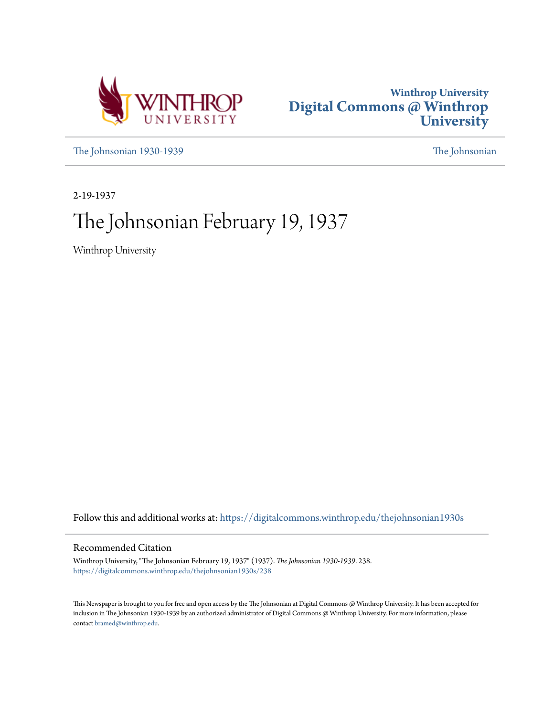



[The Johnsonian 1930-1939](https://digitalcommons.winthrop.edu/thejohnsonian1930s?utm_source=digitalcommons.winthrop.edu%2Fthejohnsonian1930s%2F238&utm_medium=PDF&utm_campaign=PDFCoverPages) [The Johnsonian](https://digitalcommons.winthrop.edu/thejohnsonian_newspaper?utm_source=digitalcommons.winthrop.edu%2Fthejohnsonian1930s%2F238&utm_medium=PDF&utm_campaign=PDFCoverPages)

2-19-1937

# The Johnsonian February 19, 1937

Winthrop University

Follow this and additional works at: [https://digitalcommons.winthrop.edu/thejohnsonian1930s](https://digitalcommons.winthrop.edu/thejohnsonian1930s?utm_source=digitalcommons.winthrop.edu%2Fthejohnsonian1930s%2F238&utm_medium=PDF&utm_campaign=PDFCoverPages)

### Recommended Citation

Winthrop University, "The Johnsonian February 19, 1937" (1937). *The Johnsonian 1930-1939*. 238. [https://digitalcommons.winthrop.edu/thejohnsonian1930s/238](https://digitalcommons.winthrop.edu/thejohnsonian1930s/238?utm_source=digitalcommons.winthrop.edu%2Fthejohnsonian1930s%2F238&utm_medium=PDF&utm_campaign=PDFCoverPages)

This Newspaper is brought to you for free and open access by the The Johnsonian at Digital Commons @ Winthrop University. It has been accepted for inclusion in The Johnsonian 1930-1939 by an authorized administrator of Digital Commons @ Winthrop University. For more information, please contact [bramed@winthrop.edu](mailto:bramed@winthrop.edu).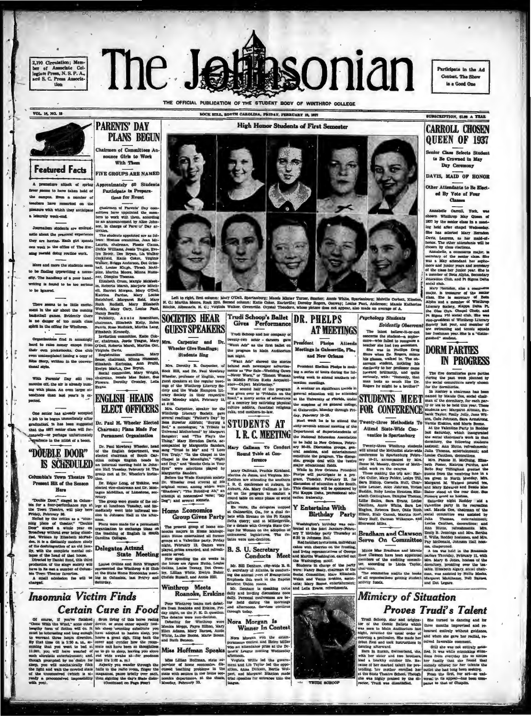2,100 Circulation; Mem-<br>ber of Associate Colber of Associate Collegiate Press, N. S. P. A., nd S. C. Press Associated<br>the S. C. Press Association

The J asonian THE OFFICIAL PUBLICATION OF THE STUDENT BODY OF WINTHROP COLLEGE

**High Honor Students of First Semester** 

ROCK HILL SOUTH CAROLINA, PETRAY SERRITARY 19, 1997

Participate in the Ad

Contest, The Show

is a Good One

**VOL. 14, NO. 18** 



### **Featured Facts**

sture sitest of spring Approximately 60 St ms to have taken hold of su. Even a nomber of  $\frac{1}{2}$ m have ren united on the are with which they anticipal aly week-end.

tions for Ryent Chairmen of Parents' Day committees have appointed the members to work with them, according ion, in change of Parents' Day activities.

**PARENTS' DAY** 

**PLANS BEGUN** 

nce Girls to Work

Chairmen of Committees An-

With Them

**FIVE GROUPS ARE NAMED** 

Left to right, first column: Mary O'Dell. Spartanburg; Masde Minter Turner, Samter; Annie White, Spartanburg; Me<br>N. C.; Martha Moore, Rock Fill. Second column: Katio Coler, Earterlile; Dorothy Rogers, Occurs/ Logics Pani,

 $\begin{tabular}{l|c|c|c} \hline & \\ \hline \multicolumn{1}{c}{\textbf{Nof} } \hline & \\ \hline \multicolumn{1}{c}{\textbf{The label of bliver-1-to-rot-2}} \\ \hline \multicolumn{1}{c}{\textbf{S}} & \hline & \\ \hline \multicolumn{1}{c}{\textbf{S}} & \hline & \\ \hline \multicolumn{1}{c}{\textbf{S}} & \hline & \\ \hline \multicolumn{1}{c}{\textbf{S}} & \hline & \\ \hline \multicolumn{1}{c}{\textbf{S}} & \hline & \\ \hline \multicolumn{1}{c}{\textbf{S}} & \hline & \\ \h$ 

Psychology Students **Evidently Obe** 

**SUBSCRIPTION, SLOB A TEAR CARROLL CHOSEN** QUEEN OF 1937

or Class Selects Stu ts Be Crowned in May Day Ceremony

DAVIS, MAID OF HONOR

Other Attendants to Be Elected By Vote of Four

**Classes** 

Annabelle Carroll, York, was<br>chosen Wintkrey May Queen of<br>1937 by the senior class in a mest-<br>1937 by the senior class of Wednesday. ing held after chapel Wednes

She has selected Mary Herminn and the matched Mary Herminn and the home. The other attention<br>is the choice of the control of the choice of the control<br> $\mu$  can be controlled as commerced matched<br>in the selection, and sele

Fames in the and Pi fugnes someoned and Pi fugnes someoned and all models and an experiency of Boss<br>and Phart Small models. The increase of Boss and an experience of Boss<br>and Alpha and a member of Winklurep Boss and a mem her freehman year. She is a

**DORM PARTIES IN PROGRESS** 

The five dominates gas<br>during the past week plus accel committees new<br>for the dormitories.<br>In *Roddey* a chairman

med by M de Cox. at **STUDENTS MEET** man of the dormitory, for each par ly or tea to be held this year. Th

PSTUDENTS MEET and of b Machine cos, seda chan-<br>
FINTS MEET and of the dominary, for each particular to the big through the set of the big transformation of the set of the set of the set of the set of the set of the set o

## **Mimicry of Situation Proves Trudi's Talent**

Trudi Schoop, star and origins-<br>
1 Ehe turned to dancing and for the consider such that there months improvised and re-<br>
was seen in Mala Auditorium last three months improvised and re-<br>
high, reversed the usual order of

civen from son user hartructions in cultural community satisfactor from some community satisfactor of the first system in the search of the system with the first system with the results with the range with the range with

**CHEMIR CURE IN A DUSE IN A DUSE CONSULTER DE CONSULTER CONSULTER CONSULTER CONSULTER THE CONSULTER CONSULTER CONSULTER CONSULTER CONSULTER CONSULTER CONSULTER CONSULTER CONSULTER CONSULTER CONSULTER CONSULTER CONSULTER C**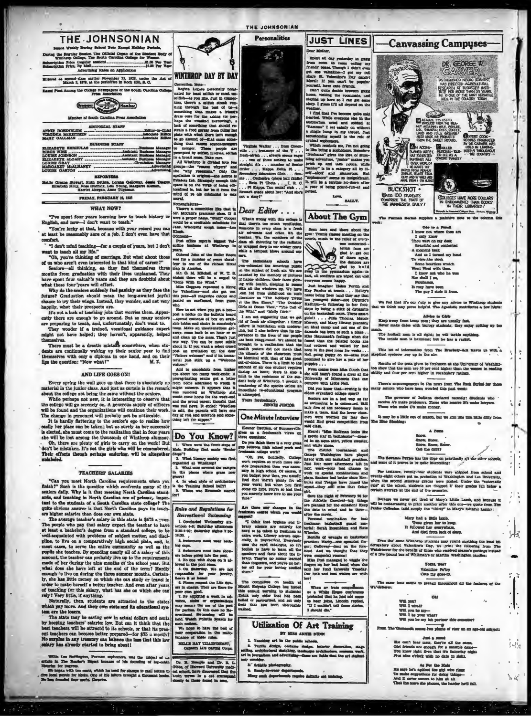

**THE JOHNSONIAN** 

**Personalities** 

**JUST LINES** 

**THE JOHNSONIAN** 

With the Partington, Furnan systems<br>we was the minister of  $\sim$  10  $\mu$  and<br> $\mu$  matrice for particular the particle<br>control of this foundation of particle in the particle in the particle in the particle in the particle i

3. Artistic photography  $\frac{4}{100}$  Ready

le ant tre

あば

 $1 - 48$ 

As For the Male<br>
Hz says he's agithet the girl who rings<br>
To make augustions for doing things-<br>
And it never occurs to him at all<br>
That the mare solutions, the harder he<br>
That the mare she ninma, the harder he

Dr. B. Hengle and Dr. R. L. Gibbs, of Harvard University medi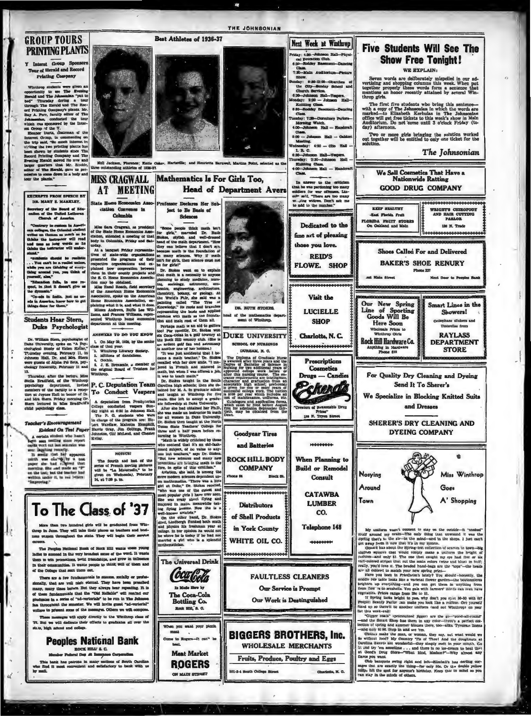